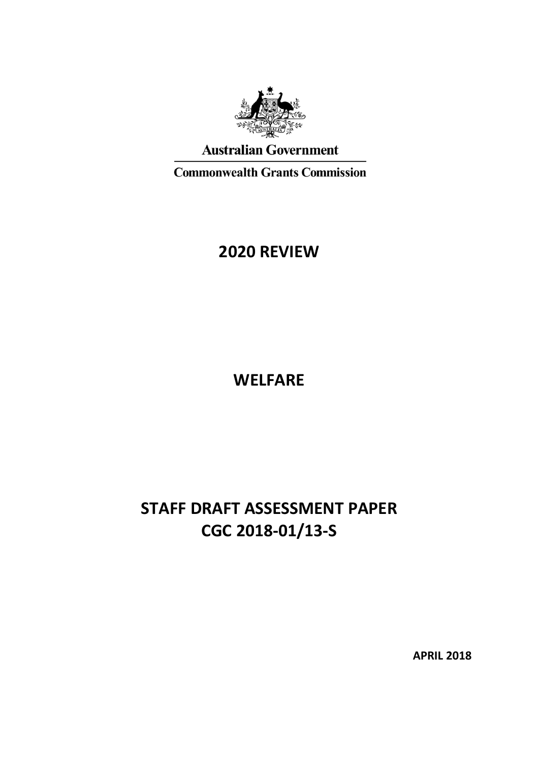

# **Australian Government**

**Commonwealth Grants Commission** 

# **2020 REVIEW**

**WELFARE**

# **STAFF DRAFT ASSESSMENT PAPER CGC 2018-01/13-S**

**APRIL 2018**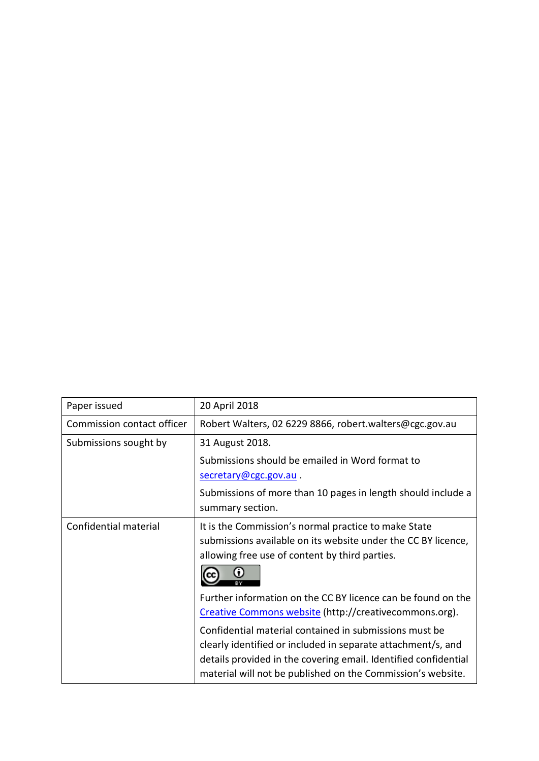| Paper issued               | 20 April 2018                                                                                                                                                                                                                                            |
|----------------------------|----------------------------------------------------------------------------------------------------------------------------------------------------------------------------------------------------------------------------------------------------------|
| Commission contact officer | Robert Walters, 02 6229 8866, robert.walters@cgc.gov.au                                                                                                                                                                                                  |
| Submissions sought by      | 31 August 2018.                                                                                                                                                                                                                                          |
|                            | Submissions should be emailed in Word format to                                                                                                                                                                                                          |
|                            | secretary@cgc.gov.au.                                                                                                                                                                                                                                    |
|                            | Submissions of more than 10 pages in length should include a                                                                                                                                                                                             |
|                            | summary section.                                                                                                                                                                                                                                         |
| Confidential material      | It is the Commission's normal practice to make State<br>submissions available on its website under the CC BY licence,<br>allowing free use of content by third parties.                                                                                  |
|                            | Further information on the CC BY licence can be found on the<br>Creative Commons website (http://creativecommons.org).                                                                                                                                   |
|                            | Confidential material contained in submissions must be<br>clearly identified or included in separate attachment/s, and<br>details provided in the covering email. Identified confidential<br>material will not be published on the Commission's website. |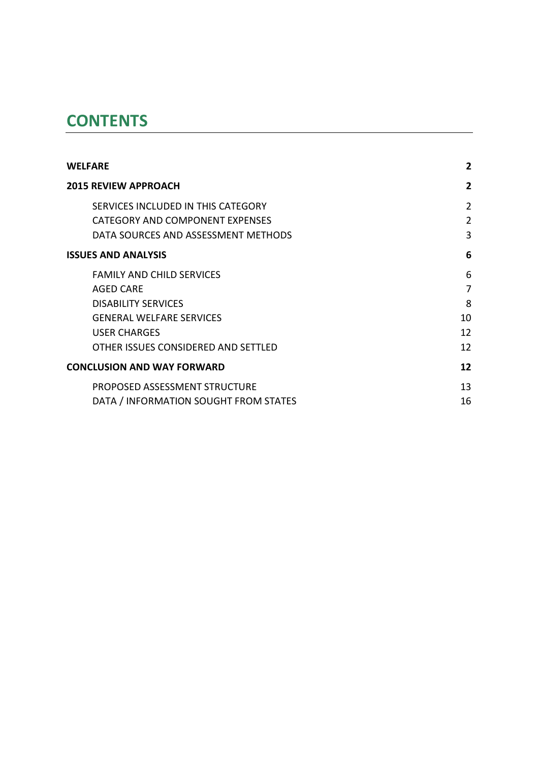# **CONTENTS**

| <b>WELFARE</b>                        | 2              |
|---------------------------------------|----------------|
| <b>2015 REVIEW APPROACH</b>           | 2              |
| SERVICES INCLUDED IN THIS CATEGORY    | $\overline{2}$ |
| CATEGORY AND COMPONENT EXPENSES       | $\overline{2}$ |
| DATA SOURCES AND ASSESSMENT METHODS   | 3              |
| <b>ISSUES AND ANALYSIS</b>            | 6              |
| <b>FAMILY AND CHILD SERVICES</b>      | 6              |
| AGED CARE                             | 7              |
| <b>DISABILITY SERVICES</b>            | 8              |
| <b>GENERAL WELFARE SERVICES</b>       | 10             |
| <b>USER CHARGES</b>                   | 12             |
| OTHER ISSUES CONSIDERED AND SETTLED   | 12             |
| <b>CONCLUSION AND WAY FORWARD</b>     | 12             |
| PROPOSED ASSESSMENT STRUCTURE         | 13             |
| DATA / INFORMATION SOUGHT FROM STATES | 16             |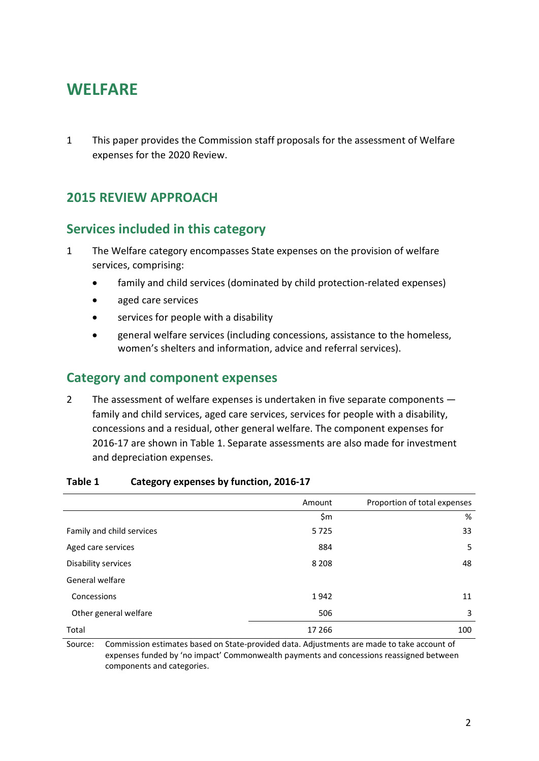# <span id="page-3-0"></span>**WELFARE**

1 This paper provides the Commission staff proposals for the assessment of Welfare expenses for the 2020 Review.

# <span id="page-3-1"></span>**2015 REVIEW APPROACH**

# <span id="page-3-2"></span>**Services included in this category**

- 1 The Welfare category encompasses State expenses on the provision of welfare services, comprising:
	- family and child services (dominated by child protection-related expenses)
	- aged care services
	- services for people with a disability
	- general welfare services (including concessions, assistance to the homeless, women's shelters and information, advice and referral services).

## <span id="page-3-3"></span>**Category and component expenses**

2 The assessment of welfare expenses is undertaken in five separate components family and child services, aged care services, services for people with a disability, concessions and a residual, other general welfare. The component expenses for 2016-17 are shown in [Table 1.](#page-3-4) Separate assessments are also made for investment and depreciation expenses.

|                           | Amount  | Proportion of total expenses |
|---------------------------|---------|------------------------------|
|                           | \$m     | %                            |
| Family and child services | 5725    | 33                           |
| Aged care services        | 884     | 5                            |
| Disability services       | 8 2 0 8 | 48                           |
| General welfare           |         |                              |
| Concessions               | 1942    | 11                           |
| Other general welfare     | 506     | 3                            |
| Total                     | 17 266  | 100                          |

#### <span id="page-3-4"></span>**Table 1 Category expenses by function, 2016-17**

Source: Commission estimates based on State-provided data. Adjustments are made to take account of expenses funded by 'no impact' Commonwealth payments and concessions reassigned between components and categories.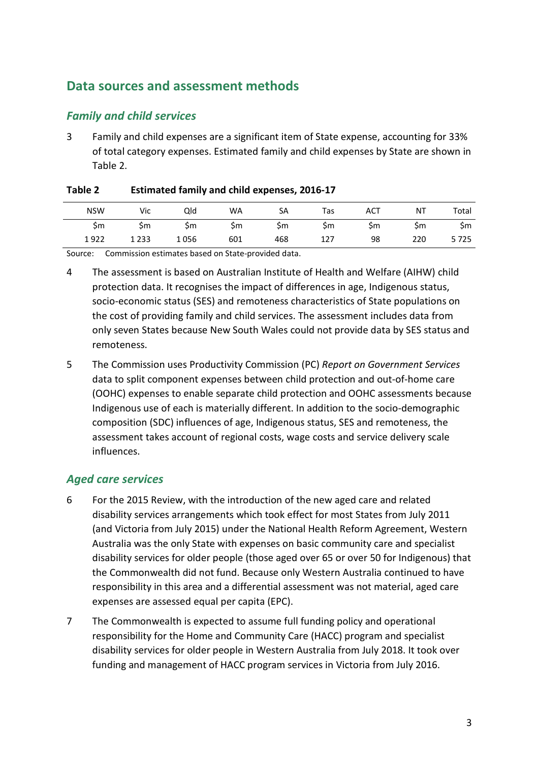# <span id="page-4-0"></span>**Data sources and assessment methods**

### *Family and child services*

3 Family and child expenses are a significant item of State expense, accounting for 33% of total category expenses. Estimated family and child expenses by State are shown in [Table 2.](#page-4-1)

| <b>NSW</b> | Vic     | Qld  | <b>WA</b> | SА  | Tas | <b>ACT</b> | NT  | Total |
|------------|---------|------|-----------|-----|-----|------------|-----|-------|
| Şm         | Şm      | Şm   | Şm        | Şm  | Şm  | Şm         | Şm  | Şm    |
| 1922       | 1 2 3 3 | 1056 | 601       | 468 | 127 | 98         | 220 | 5725  |

#### <span id="page-4-1"></span>**Table 2 Estimated family and child expenses, 2016-17**

Source: Commission estimates based on State-provided data.

- 4 The assessment is based on Australian Institute of Health and Welfare (AIHW) child protection data. It recognises the impact of differences in age, Indigenous status, socio-economic status (SES) and remoteness characteristics of State populations on the cost of providing family and child services. The assessment includes data from only seven States because New South Wales could not provide data by SES status and remoteness.
- 5 The Commission uses Productivity Commission (PC) *Report on Government Services* data to split component expenses between child protection and out-of-home care (OOHC) expenses to enable separate child protection and OOHC assessments because Indigenous use of each is materially different. In addition to the socio-demographic composition (SDC) influences of age, Indigenous status, SES and remoteness, the assessment takes account of regional costs, wage costs and service delivery scale influences.

### *Aged care services*

- 6 For the 2015 Review, with the introduction of the new aged care and related disability services arrangements which took effect for most States from July 2011 (and Victoria from July 2015) under the National Health Reform Agreement, Western Australia was the only State with expenses on basic community care and specialist disability services for older people (those aged over 65 or over 50 for Indigenous) that the Commonwealth did not fund. Because only Western Australia continued to have responsibility in this area and a differential assessment was not material, aged care expenses are assessed equal per capita (EPC).
- 7 The Commonwealth is expected to assume full funding policy and operational responsibility for the Home and Community Care (HACC) program and specialist disability services for older people in Western Australia from July 2018. It took over funding and management of HACC program services in Victoria from July 2016.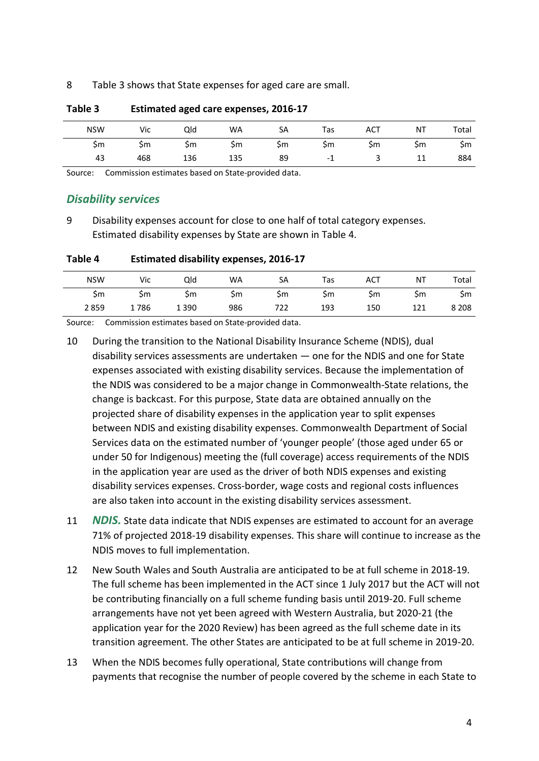#### 8 [Table 3](#page-5-0) shows that State expenses for aged care are small.

| <b>NSW</b> | Vic | Qld | <b>WA</b> | SА | Tas | <b>ACT</b> | NT | Total |
|------------|-----|-----|-----------|----|-----|------------|----|-------|
| Sm         | Şm  | Şm  | Şm        | Şm | Şm  | Şm         | Şm | Şm    |
| 43         | 468 | 136 | 135       | 89 | - 1 |            | ᆚ  | 884   |

#### <span id="page-5-0"></span>**Table 3 Estimated aged care expenses, 2016-17**

Source: Commission estimates based on State-provided data.

### *Disability services*

9 Disability expenses account for close to one half of total category expenses. Estimated disability expenses by State are shown in [Table 4.](#page-5-1)

<span id="page-5-1"></span>

| Table 4<br><b>Estimated disability expenses, 2016-17</b> |  |
|----------------------------------------------------------|--|
|----------------------------------------------------------|--|

| <b>NSW</b> | Vic  | Qld     | WA  | SA  | Tas | <b>ACT</b> | ΝT | Total   |
|------------|------|---------|-----|-----|-----|------------|----|---------|
| Şm         | Şm   | Şm      | \$m | Şm  | Şm  | \$m        | Şm | Şm      |
| 2859       | 1786 | 1 3 9 0 | 986 | 722 | 193 | 150        |    | 8 2 0 8 |

Source: Commission estimates based on State-provided data.

- 10 During the transition to the National Disability Insurance Scheme (NDIS), dual disability services assessments are undertaken — one for the NDIS and one for State expenses associated with existing disability services. Because the implementation of the NDIS was considered to be a major change in Commonwealth-State relations, the change is backcast. For this purpose, State data are obtained annually on the projected share of disability expenses in the application year to split expenses between NDIS and existing disability expenses. Commonwealth Department of Social Services data on the estimated number of 'younger people' (those aged under 65 or under 50 for Indigenous) meeting the (full coverage) access requirements of the NDIS in the application year are used as the driver of both NDIS expenses and existing disability services expenses. Cross-border, wage costs and regional costs influences are also taken into account in the existing disability services assessment.
- 11 *NDIS.* State data indicate that NDIS expenses are estimated to account for an average 71% of projected 2018-19 disability expenses. This share will continue to increase as the NDIS moves to full implementation.
- 12 New South Wales and South Australia are anticipated to be at full scheme in 2018-19. The full scheme has been implemented in the ACT since 1 July 2017 but the ACT will not be contributing financially on a full scheme funding basis until 2019-20. Full scheme arrangements have not yet been agreed with Western Australia, but 2020-21 (the application year for the 2020 Review) has been agreed as the full scheme date in its transition agreement. The other States are anticipated to be at full scheme in 2019-20.
- 13 When the NDIS becomes fully operational, State contributions will change from payments that recognise the number of people covered by the scheme in each State to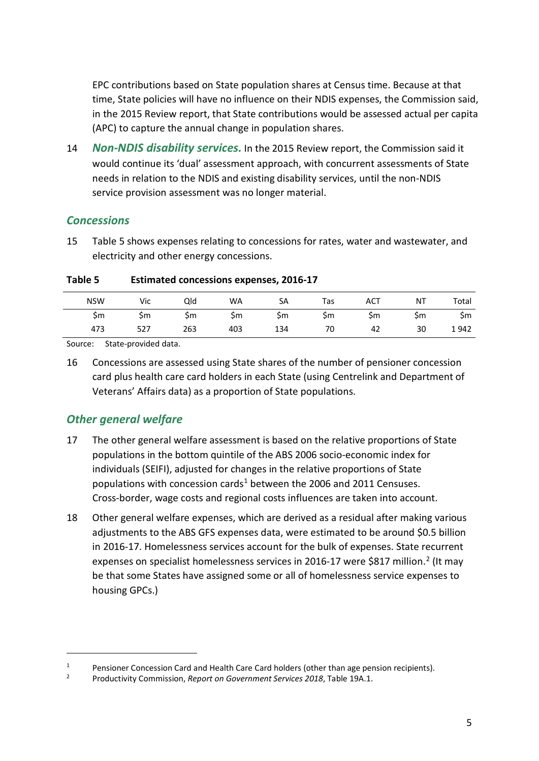EPC contributions based on State population shares at Census time. Because at that time, State policies will have no influence on their NDIS expenses, the Commission said, in the 2015 Review report, that State contributions would be assessed actual per capita (APC) to capture the annual change in population shares.

14 *Non-NDIS disability services.* In the 2015 Review report, the Commission said it would continue its 'dual' assessment approach, with concurrent assessments of State needs in relation to the NDIS and existing disability services, until the non-NDIS service provision assessment was no longer material.

### *Concessions*

15 [Table 5](#page-6-0) shows expenses relating to concessions for rates, water and wastewater, and electricity and other energy concessions.

<span id="page-6-0"></span>

| Table 5 | <b>Estimated concessions expenses, 2016-17</b> |
|---------|------------------------------------------------|
|---------|------------------------------------------------|

| <b>NSW</b> | Vic | Qld | <b>WA</b> | SА  | Tas | <b>ACT</b> | NT | Total |
|------------|-----|-----|-----------|-----|-----|------------|----|-------|
| Şm         | Şm  | Şm  | Şm        | Şm  | Şm  | Şm         | Şm | Şm    |
| 473        | 527 | 263 | 403       | 134 | 70  | 42         | 30 | 1942  |

Source: State-provided data.

16 Concessions are assessed using State shares of the number of pensioner concession card plus health care card holders in each State (using Centrelink and Department of Veterans' Affairs data) as a proportion of State populations.

## *Other general welfare*

 $\overline{a}$ 

- 17 The other general welfare assessment is based on the relative proportions of State populations in the bottom quintile of the ABS 2006 socio-economic index for individuals (SEIFI), adjusted for changes in the relative proportions of State populations with concession cards<sup>[1](#page-6-1)</sup> between the 2006 and 2011 Censuses. Cross-border, wage costs and regional costs influences are taken into account.
- 18 Other general welfare expenses, which are derived as a residual after making various adjustments to the ABS GFS expenses data, were estimated to be around \$0.5 billion in 2016-17. Homelessness services account for the bulk of expenses. State recurrent expenses on specialist homelessness services in [2](#page-6-2)016-17 were \$817 million.<sup>2</sup> (It may be that some States have assigned some or all of homelessness service expenses to housing GPCs.)

<span id="page-6-1"></span><sup>&</sup>lt;sup>1</sup> Pensioner Concession Card and Health Care Card holders (other than age pension recipients).<br><sup>2</sup> Productivity Commission, *Report on Government Services 2018*, Table 19A.1.

<span id="page-6-2"></span>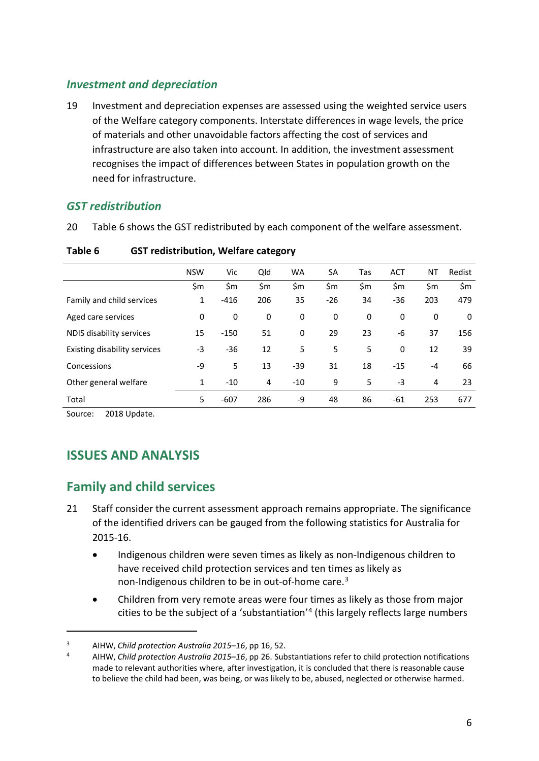### *Investment and depreciation*

19 Investment and depreciation expenses are assessed using the weighted service users of the Welfare category components. Interstate differences in wage levels, the price of materials and other unavoidable factors affecting the cost of services and infrastructure are also taken into account. In addition, the investment assessment recognises the impact of differences between States in population growth on the need for infrastructure.

### *GST redistribution*

20 [Table 6](#page-7-2) shows the GST redistributed by each component of the welfare assessment.

|                                     | <b>NSW</b> | Vic    | Qld | <b>WA</b> | <b>SA</b> | Tas | <b>ACT</b> | ΝT   | Redist |
|-------------------------------------|------------|--------|-----|-----------|-----------|-----|------------|------|--------|
|                                     | \$m        | \$m    | \$m | \$m       | \$m       | \$m | \$m        | \$m  | \$m    |
| Family and child services           | 1          | $-416$ | 206 | 35        | $-26$     | 34  | $-36$      | 203  | 479    |
| Aged care services                  | 0          | 0      | 0   | 0         | 0         | 0   | 0          | 0    | 0      |
| NDIS disability services            | 15         | $-150$ | 51  | 0         | 29        | 23  | -6         | 37   | 156    |
| <b>Existing disability services</b> | -3         | $-36$  | 12  | 5         | 5         | 5   | 0          | 12   | 39     |
| Concessions                         | -9         | 5      | 13  | $-39$     | 31        | 18  | $-15$      | $-4$ | 66     |
| Other general welfare               | 1          | $-10$  | 4   | $-10$     | 9         | 5   | -3         | 4    | 23     |
| Total                               | 5          | $-607$ | 286 | -9        | 48        | 86  | $-61$      | 253  | 677    |

#### <span id="page-7-2"></span>**Table 6 GST redistribution, Welfare category**

<span id="page-7-0"></span>Source: 2018 Update.

 $\overline{a}$ 

# **ISSUES AND ANALYSIS**

# <span id="page-7-1"></span>**Family and child services**

- 21 Staff consider the current assessment approach remains appropriate. The significance of the identified drivers can be gauged from the following statistics for Australia for 2015-16.
	- Indigenous children were seven times as likely as non-Indigenous children to have received child protection services and ten times as likely as non-Indigenous children to be in out-of-home care. [3](#page-7-3)
	- Children from very remote areas were four times as likely as those from major cities to be the subject of a 'substantiation' [4](#page-7-4) (this largely reflects large numbers

<span id="page-7-3"></span><sup>3</sup> AIHW, *Child protection Australia 2015–16*, pp 16, 52.

<span id="page-7-4"></span><sup>4</sup> AIHW, *Child protection Australia 2015–16*, pp 26. Substantiations refer to child protection notifications made to relevant authorities where, after investigation, it is concluded that there is reasonable cause to believe the child had been, was being, or was likely to be, abused, neglected or otherwise harmed.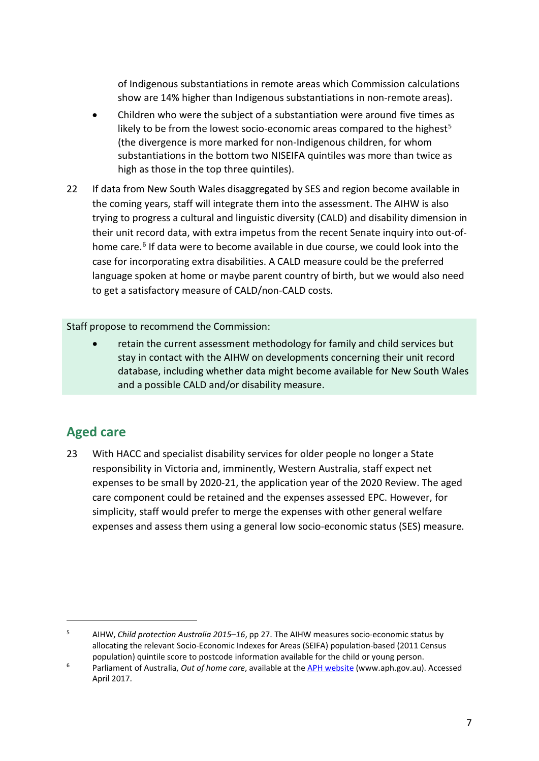of Indigenous substantiations in remote areas which Commission calculations show are 14% higher than Indigenous substantiations in non-remote areas).

- Children who were the subject of a substantiation were around five times as likely to be from the lowest socio-economic areas compared to the highest<sup>[5](#page-8-1)</sup> (the divergence is more marked for non-Indigenous children, for whom substantiations in the bottom two NISEIFA quintiles was more than twice as high as those in the top three quintiles).
- 22 If data from New South Wales disaggregated by SES and region become available in the coming years, staff will integrate them into the assessment. The AIHW is also trying to progress a cultural and linguistic diversity (CALD) and disability dimension in their unit record data, with extra impetus from the recent Senate inquiry into out-ofhome care. [6](#page-8-2) If data were to become available in due course, we could look into the case for incorporating extra disabilities. A CALD measure could be the preferred language spoken at home or maybe parent country of birth, but we would also need to get a satisfactory measure of CALD/non-CALD costs.

Staff propose to recommend the Commission:

• retain the current assessment methodology for family and child services but stay in contact with the AIHW on developments concerning their unit record database, including whether data might become available for New South Wales and a possible CALD and/or disability measure.

# <span id="page-8-0"></span>**Aged care**

 $\overline{a}$ 

23 With HACC and specialist disability services for older people no longer a State responsibility in Victoria and, imminently, Western Australia, staff expect net expenses to be small by 2020-21, the application year of the 2020 Review. The aged care component could be retained and the expenses assessed EPC. However, for simplicity, staff would prefer to merge the expenses with other general welfare expenses and assess them using a general low socio-economic status (SES) measure.

<span id="page-8-1"></span><sup>5</sup> AIHW, *Child protection Australia 2015–16*, pp 27. The AIHW measures socio-economic status by allocating the relevant Socio-Economic Indexes for Areas (SEIFA) population-based (2011 Census population) quintile score to postcode information available for the child or young person. 6 Parliament of Australia, *Out of home care*, available at the [APH website](http://www.aph.gov.au/Parliamentary_Business/Committees/Senate/Community_Affairs/Out_of_home_care) (www.aph.gov.au). Accessed

<span id="page-8-2"></span>April 2017.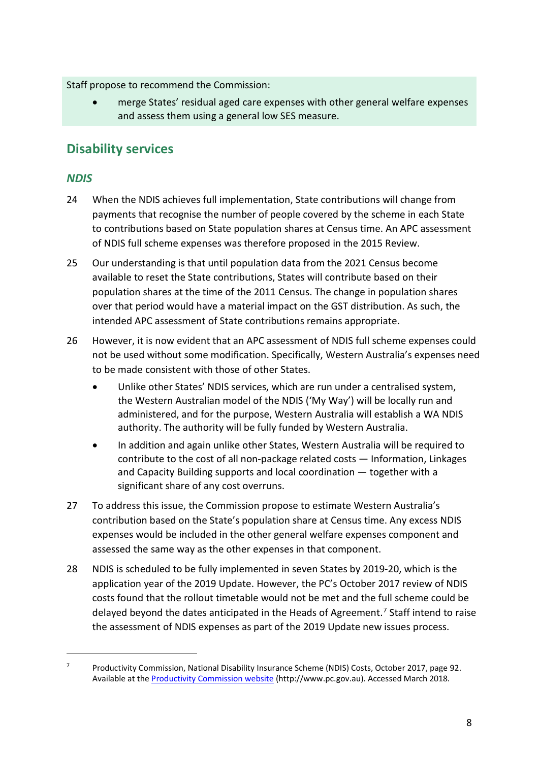Staff propose to recommend the Commission:

• merge States' residual aged care expenses with other general welfare expenses and assess them using a general low SES measure.

# <span id="page-9-0"></span>**Disability services**

### *NDIS*

 $\overline{a}$ 

- 24 When the NDIS achieves full implementation, State contributions will change from payments that recognise the number of people covered by the scheme in each State to contributions based on State population shares at Census time. An APC assessment of NDIS full scheme expenses was therefore proposed in the 2015 Review.
- 25 Our understanding is that until population data from the 2021 Census become available to reset the State contributions, States will contribute based on their population shares at the time of the 2011 Census. The change in population shares over that period would have a material impact on the GST distribution. As such, the intended APC assessment of State contributions remains appropriate.
- 26 However, it is now evident that an APC assessment of NDIS full scheme expenses could not be used without some modification. Specifically, Western Australia's expenses need to be made consistent with those of other States.
	- Unlike other States' NDIS services, which are run under a centralised system, the Western Australian model of the NDIS ('My Way') will be locally run and administered, and for the purpose, Western Australia will establish a WA NDIS authority. The authority will be fully funded by Western Australia.
	- In addition and again unlike other States, Western Australia will be required to contribute to the cost of all non-package related costs — Information, Linkages and Capacity Building supports and local coordination — together with a significant share of any cost overruns.
- 27 To address this issue, the Commission propose to estimate Western Australia's contribution based on the State's population share at Census time. Any excess NDIS expenses would be included in the other general welfare expenses component and assessed the same way as the other expenses in that component.
- 28 NDIS is scheduled to be fully implemented in seven States by 2019-20, which is the application year of the 2019 Update. However, the PC's October 2017 review of NDIS costs found that the rollout timetable would not be met and the full scheme could be delayed beyond the dates anticipated in the Heads of Agreement. [7](#page-9-1) Staff intend to raise the assessment of NDIS expenses as part of the 2019 Update new issues process.

<span id="page-9-1"></span> $7$  Productivity Commission, National Disability Insurance Scheme (NDIS) Costs, October 2017, page 92. Available at the [Productivity Commission website](http://www.pc.gov.au/inquiries/completed/ndis-costs/report/ndis-costs.pdf) (http://www.pc.gov.au). Accessed March 2018.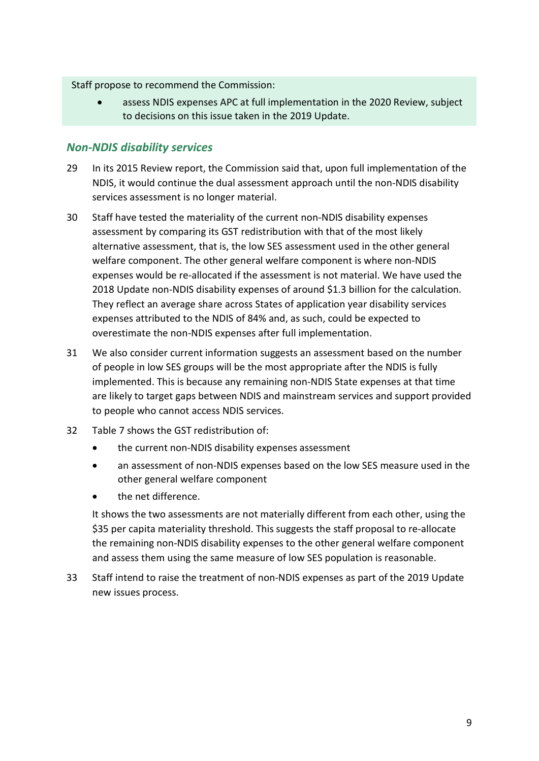#### Staff propose to recommend the Commission:

• assess NDIS expenses APC at full implementation in the 2020 Review, subject to decisions on this issue taken in the 2019 Update.

### *Non-NDIS disability services*

- 29 In its 2015 Review report, the Commission said that, upon full implementation of the NDIS, it would continue the dual assessment approach until the non-NDIS disability services assessment is no longer material.
- 30 Staff have tested the materiality of the current non-NDIS disability expenses assessment by comparing its GST redistribution with that of the most likely alternative assessment, that is, the low SES assessment used in the other general welfare component. The other general welfare component is where non-NDIS expenses would be re-allocated if the assessment is not material. We have used the 2018 Update non-NDIS disability expenses of around \$1.3 billion for the calculation. They reflect an average share across States of application year disability services expenses attributed to the NDIS of 84% and, as such, could be expected to overestimate the non-NDIS expenses after full implementation.
- 31 We also consider current information suggests an assessment based on the number of people in low SES groups will be the most appropriate after the NDIS is fully implemented. This is because any remaining non-NDIS State expenses at that time are likely to target gaps between NDIS and mainstream services and support provided to people who cannot access NDIS services.
- 32 [Table 7](#page-11-1) shows the GST redistribution of:
	- the current non-NDIS disability expenses assessment
	- an assessment of non-NDIS expenses based on the low SES measure used in the other general welfare component
	- the net difference.

It shows the two assessments are not materially different from each other, using the \$35 per capita materiality threshold. This suggests the staff proposal to re-allocate the remaining non-NDIS disability expenses to the other general welfare component and assess them using the same measure of low SES population is reasonable.

33 Staff intend to raise the treatment of non-NDIS expenses as part of the 2019 Update new issues process.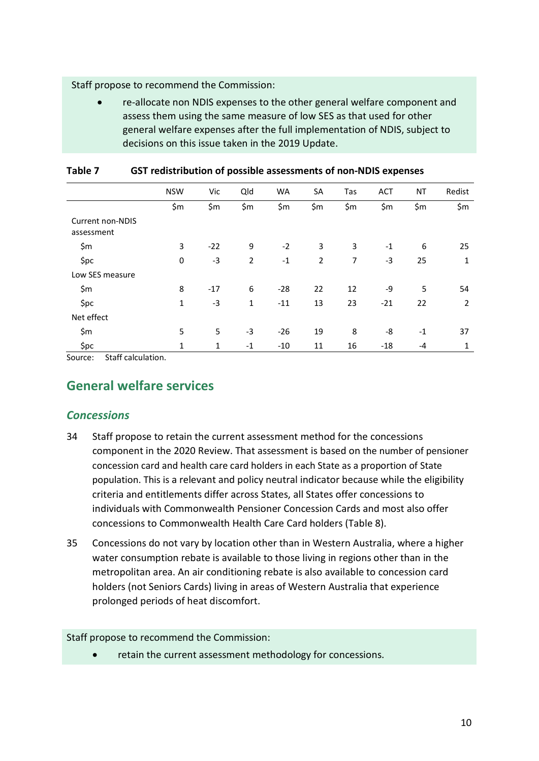#### Staff propose to recommend the Commission:

• re-allocate non NDIS expenses to the other general welfare component and assess them using the same measure of low SES as that used for other general welfare expenses after the full implementation of NDIS, subject to decisions on this issue taken in the 2019 Update.

|                                       | <b>NSW</b> | Vic   | Qld            | <b>WA</b> | <b>SA</b>      | Tas | <b>ACT</b> | ΝT   | Redist |
|---------------------------------------|------------|-------|----------------|-----------|----------------|-----|------------|------|--------|
|                                       | \$m        | \$m   | \$m            | \$m       | \$m            | \$m | \$m        | \$m  | \$m    |
| <b>Current non-NDIS</b><br>assessment |            |       |                |           |                |     |            |      |        |
| \$m                                   | 3          | $-22$ | 9              | $-2$      | 3              | 3   | $-1$       | 6    | 25     |
| \$pc                                  | 0          | $-3$  | $\overline{2}$ | $-1$      | $\overline{2}$ | 7   | $-3$       | 25   | 1      |
| Low SES measure                       |            |       |                |           |                |     |            |      |        |
| \$m                                   | 8          | $-17$ | 6              | $-28$     | 22             | 12  | -9         | 5    | 54     |
| \$pc                                  | 1          | -3    | $\mathbf{1}$   | $-11$     | 13             | 23  | $-21$      | 22   | 2      |
| Net effect                            |            |       |                |           |                |     |            |      |        |
| \$m                                   | 5          | 5     | $-3$           | $-26$     | 19             | 8   | -8         | $-1$ | 37     |
| \$pc                                  | 1          | 1     | $-1$           | $-10$     | 11             | 16  | $-18$      | $-4$ | 1      |

#### <span id="page-11-1"></span>**Table 7 GST redistribution of possible assessments of non-NDIS expenses**

<span id="page-11-0"></span>Source: Staff calculation.

# **General welfare services**

### *Concessions*

- 34 Staff propose to retain the current assessment method for the concessions component in the 2020 Review. That assessment is based on the number of pensioner concession card and health care card holders in each State as a proportion of State population. This is a relevant and policy neutral indicator because while the eligibility criteria and entitlements differ across States, all States offer concessions to individuals with Commonwealth Pensioner Concession Cards and most also offer concessions to Commonwealth Health Care Card holders [\(Table 8\)](#page-12-0).
- 35 Concessions do not vary by location other than in Western Australia, where a higher water consumption rebate is available to those living in regions other than in the metropolitan area. An air conditioning rebate is also available to concession card holders (not Seniors Cards) living in areas of Western Australia that experience prolonged periods of heat discomfort.

#### Staff propose to recommend the Commission:

• retain the current assessment methodology for concessions.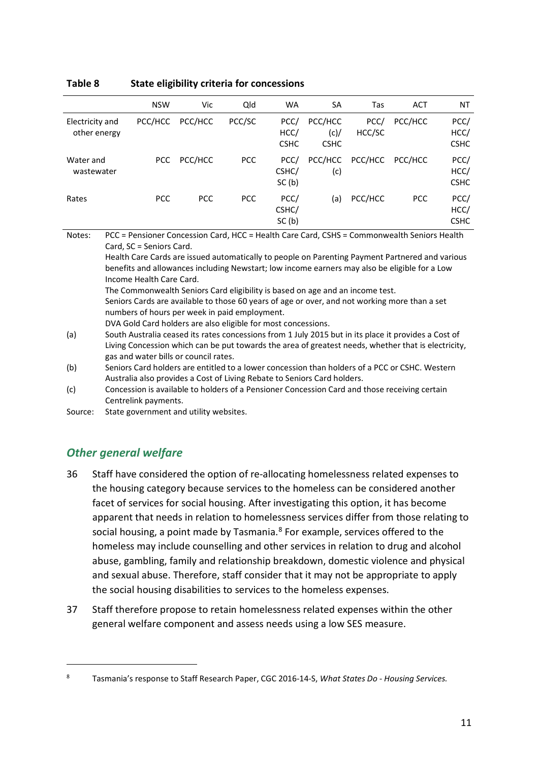|                                 | <b>NSW</b> | Vic        | Qld        | <b>WA</b>                   | SA                             | Tas            | <b>ACT</b> | NT                          |
|---------------------------------|------------|------------|------------|-----------------------------|--------------------------------|----------------|------------|-----------------------------|
| Electricity and<br>other energy | PCC/HCC    | PCC/HCC    | PCC/SC     | PCC/<br>HCC/<br><b>CSHC</b> | PCC/HCC<br>(c)/<br><b>CSHC</b> | PCC/<br>HCC/SC | PCC/HCC    | PCC/<br>HCC/<br><b>CSHC</b> |
| Water and<br>wastewater         | PCC        | PCC/HCC    | <b>PCC</b> | PCC/<br>CSHC/<br>SC(b)      | PCC/HCC<br>(c)                 | PCC/HCC        | PCC/HCC    | PCC/<br>HCC/<br><b>CSHC</b> |
| Rates                           | <b>PCC</b> | <b>PCC</b> | <b>PCC</b> | PCC/<br>CSHC/<br>SC(b)      | (a)                            | PCC/HCC        | <b>PCC</b> | PCC/<br>HCC/<br><b>CSHC</b> |

#### <span id="page-12-0"></span>**Table 8 State eligibility criteria for concessions**

Notes: PCC = Pensioner Concession Card, HCC = Health Care Card, CSHS = Commonwealth Seniors Health Card, SC = Seniors Card.

Health Care Cards are issued automatically to people on Parenting Payment Partnered and various benefits and allowances including Newstart; low income earners may also be eligible for a Low Income Health Care Card.

The Commonwealth Seniors Card eligibility is based on age and an income test.

Seniors Cards are available to those 60 years of age or over, and not working more than a set numbers of hours per week in paid employment.

DVA Gold Card holders are also eligible for most concessions.

(c) Concession is available to holders of a Pensioner Concession Card and those receiving certain Centrelink payments.

Source: State government and utility websites.

## *Other general welfare*

 $\overline{a}$ 

- 36 Staff have considered the option of re-allocating homelessness related expenses to the housing category because services to the homeless can be considered another facet of services for social housing. After investigating this option, it has become apparent that needs in relation to homelessness services differ from those relating to social housing, a point made by Tasmania.<sup>[8](#page-12-1)</sup> For example, services offered to the homeless may include counselling and other services in relation to drug and alcohol abuse, gambling, family and relationship breakdown, domestic violence and physical and sexual abuse. Therefore, staff consider that it may not be appropriate to apply the social housing disabilities to services to the homeless expenses.
- 37 Staff therefore propose to retain homelessness related expenses within the other general welfare component and assess needs using a low SES measure.

<sup>(</sup>a) South Australia ceased its rates concessions from 1 July 2015 but in its place it provides a Cost of Living Concession which can be put towards the area of greatest needs, whether that is electricity, gas and water bills or council rates.

<sup>(</sup>b) Seniors Card holders are entitled to a lower concession than holders of a PCC or CSHC. Western Australia also provides a Cost of Living Rebate to Seniors Card holders.

<span id="page-12-1"></span><sup>8</sup> Tasmania's response to Staff Research Paper, CGC 2016-14-S, *What States Do - Housing Services.*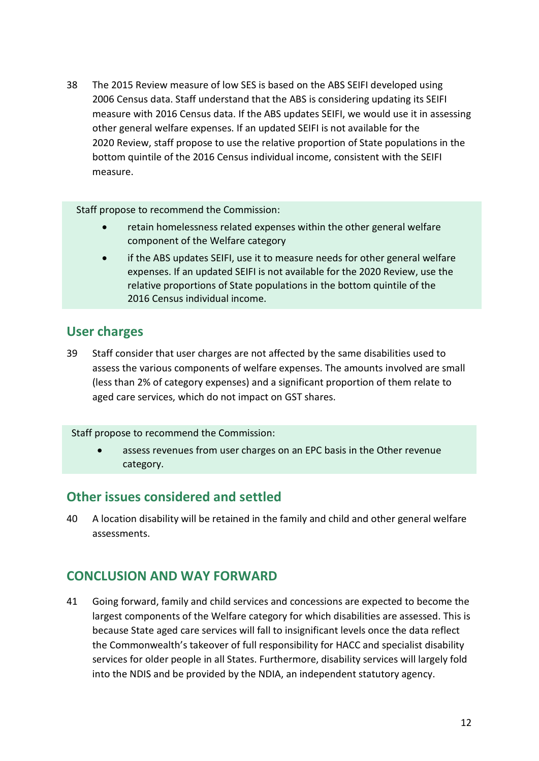38 The 2015 Review measure of low SES is based on the ABS SEIFI developed using 2006 Census data. Staff understand that the ABS is considering updating its SEIFI measure with 2016 Census data. If the ABS updates SEIFI, we would use it in assessing other general welfare expenses. If an updated SEIFI is not available for the 2020 Review, staff propose to use the relative proportion of State populations in the bottom quintile of the 2016 Census individual income, consistent with the SEIFI measure.

Staff propose to recommend the Commission:

- retain homelessness related expenses within the other general welfare component of the Welfare category
- if the ABS updates SEIFI, use it to measure needs for other general welfare expenses. If an updated SEIFI is not available for the 2020 Review, use the relative proportions of State populations in the bottom quintile of the 2016 Census individual income.

## <span id="page-13-0"></span>**User charges**

39 Staff consider that user charges are not affected by the same disabilities used to assess the various components of welfare expenses. The amounts involved are small (less than 2% of category expenses) and a significant proportion of them relate to aged care services, which do not impact on GST shares.

Staff propose to recommend the Commission:

• assess revenues from user charges on an EPC basis in the Other revenue category.

# <span id="page-13-1"></span>**Other issues considered and settled**

40 A location disability will be retained in the family and child and other general welfare assessments.

# <span id="page-13-2"></span>**CONCLUSION AND WAY FORWARD**

41 Going forward, family and child services and concessions are expected to become the largest components of the Welfare category for which disabilities are assessed. This is because State aged care services will fall to insignificant levels once the data reflect the Commonwealth's takeover of full responsibility for HACC and specialist disability services for older people in all States. Furthermore, disability services will largely fold into the NDIS and be provided by the NDIA, an independent statutory agency.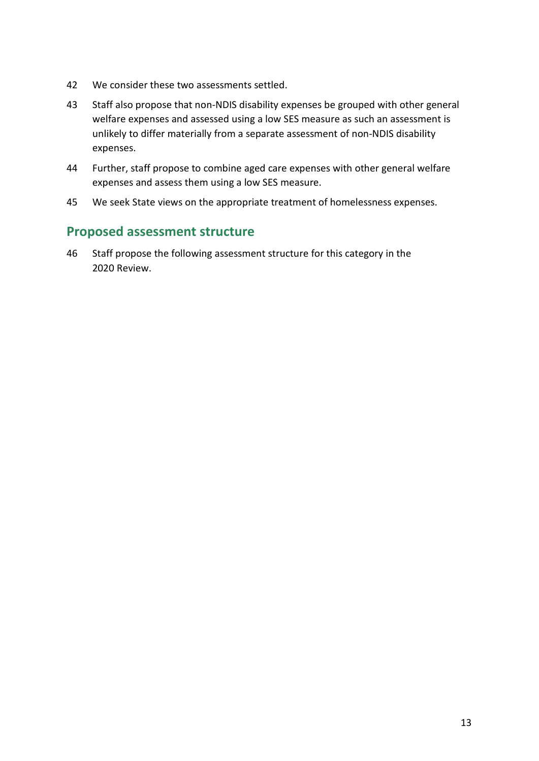- 42 We consider these two assessments settled.
- 43 Staff also propose that non-NDIS disability expenses be grouped with other general welfare expenses and assessed using a low SES measure as such an assessment is unlikely to differ materially from a separate assessment of non-NDIS disability expenses.
- 44 Further, staff propose to combine aged care expenses with other general welfare expenses and assess them using a low SES measure.
- 45 We seek State views on the appropriate treatment of homelessness expenses.

# <span id="page-14-0"></span>**Proposed assessment structure**

46 Staff propose the following assessment structure for this category in the 2020 Review.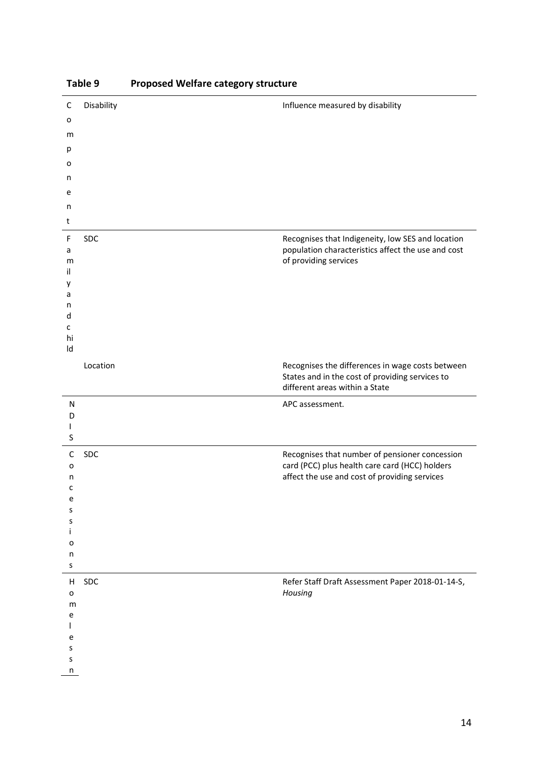| C           | Disability | Influence measured by disability                                                                    |
|-------------|------------|-----------------------------------------------------------------------------------------------------|
| o           |            |                                                                                                     |
|             |            |                                                                                                     |
| m           |            |                                                                                                     |
| р           |            |                                                                                                     |
| о           |            |                                                                                                     |
| n           |            |                                                                                                     |
| e           |            |                                                                                                     |
| n           |            |                                                                                                     |
| t           |            |                                                                                                     |
| F           | SDC        | Recognises that Indigeneity, low SES and location                                                   |
| a           |            | population characteristics affect the use and cost                                                  |
| m           |            | of providing services                                                                               |
| il<br>у     |            |                                                                                                     |
| a           |            |                                                                                                     |
| n           |            |                                                                                                     |
| d           |            |                                                                                                     |
| c<br>hi     |            |                                                                                                     |
| Id          |            |                                                                                                     |
|             | Location   |                                                                                                     |
|             |            | Recognises the differences in wage costs between<br>States and in the cost of providing services to |
|             |            | different areas within a State                                                                      |
| ${\sf N}$   |            | APC assessment.                                                                                     |
| D           |            |                                                                                                     |
|             |            |                                                                                                     |
| S           |            |                                                                                                     |
| $\mathsf C$ | SDC        | Recognises that number of pensioner concession                                                      |
| o           |            | card (PCC) plus health care card (HCC) holders                                                      |
| n<br>c      |            | affect the use and cost of providing services                                                       |
| e           |            |                                                                                                     |
| s           |            |                                                                                                     |
| s           |            |                                                                                                     |
|             |            |                                                                                                     |
| o<br>n      |            |                                                                                                     |
| S           |            |                                                                                                     |
| H           | <b>SDC</b> | Refer Staff Draft Assessment Paper 2018-01-14-S,                                                    |
| o           |            | Housing                                                                                             |
| m           |            |                                                                                                     |
| e           |            |                                                                                                     |
|             |            |                                                                                                     |
| e<br>S      |            |                                                                                                     |
| S           |            |                                                                                                     |
| n           |            |                                                                                                     |

### **Table 9 Proposed Welfare category structure**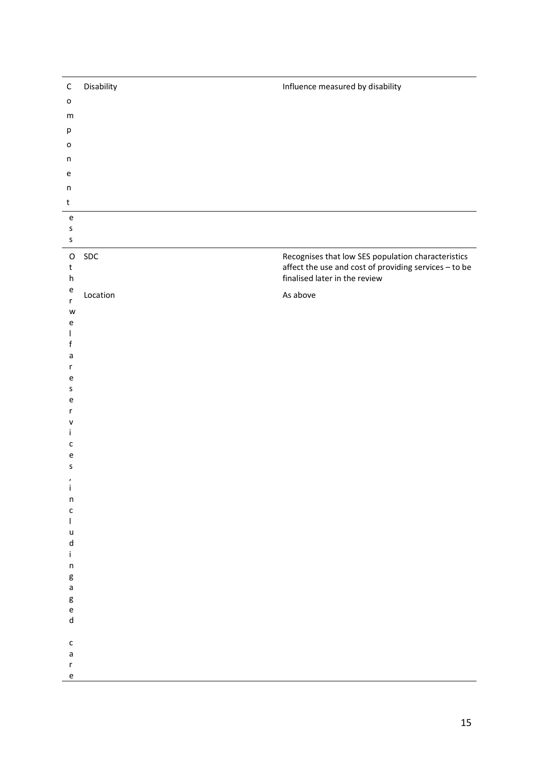| $\mathsf{o}$<br>${\sf m}$<br>р<br>o<br>$\sf n$<br>$\mathsf{e}% _{t}\left( t\right)$<br>$\sf n$<br>$\sf t$<br>$\mathsf{e}% _{0}\left( \mathsf{e}\right)$<br>$\sf S$<br>$\sf S$<br>Recognises that low SES population characteristics<br>$\mathsf{SDC}$<br>$\mathsf O$<br>affect the use and cost of providing services - to be<br>t<br>finalised later in the review<br>$\boldsymbol{\mathsf{h}}$<br>e<br>Location<br>As above<br>$\mathsf r$<br>W<br>e<br>f<br>a<br>r<br>e<br>s<br>e<br>r<br>v<br>c<br>e<br>S<br>ı<br>İ.<br>$\sf n$<br>$\mathsf{c}$<br>$\mathsf I$<br>$\mathsf{u}$<br>$\mathsf{d}$<br>$\mathbf i$<br>$\sf n$<br>g<br>$\mathsf{a}$<br>g<br>e<br>$\mathsf{d}$ | $\mathsf C$  | Disability | Influence measured by disability |
|-----------------------------------------------------------------------------------------------------------------------------------------------------------------------------------------------------------------------------------------------------------------------------------------------------------------------------------------------------------------------------------------------------------------------------------------------------------------------------------------------------------------------------------------------------------------------------------------------------------------------------------------------------------------------------|--------------|------------|----------------------------------|
|                                                                                                                                                                                                                                                                                                                                                                                                                                                                                                                                                                                                                                                                             |              |            |                                  |
|                                                                                                                                                                                                                                                                                                                                                                                                                                                                                                                                                                                                                                                                             |              |            |                                  |
|                                                                                                                                                                                                                                                                                                                                                                                                                                                                                                                                                                                                                                                                             |              |            |                                  |
|                                                                                                                                                                                                                                                                                                                                                                                                                                                                                                                                                                                                                                                                             |              |            |                                  |
|                                                                                                                                                                                                                                                                                                                                                                                                                                                                                                                                                                                                                                                                             |              |            |                                  |
|                                                                                                                                                                                                                                                                                                                                                                                                                                                                                                                                                                                                                                                                             |              |            |                                  |
|                                                                                                                                                                                                                                                                                                                                                                                                                                                                                                                                                                                                                                                                             |              |            |                                  |
|                                                                                                                                                                                                                                                                                                                                                                                                                                                                                                                                                                                                                                                                             |              |            |                                  |
|                                                                                                                                                                                                                                                                                                                                                                                                                                                                                                                                                                                                                                                                             |              |            |                                  |
|                                                                                                                                                                                                                                                                                                                                                                                                                                                                                                                                                                                                                                                                             |              |            |                                  |
|                                                                                                                                                                                                                                                                                                                                                                                                                                                                                                                                                                                                                                                                             |              |            |                                  |
|                                                                                                                                                                                                                                                                                                                                                                                                                                                                                                                                                                                                                                                                             |              |            |                                  |
|                                                                                                                                                                                                                                                                                                                                                                                                                                                                                                                                                                                                                                                                             |              |            |                                  |
|                                                                                                                                                                                                                                                                                                                                                                                                                                                                                                                                                                                                                                                                             |              |            |                                  |
|                                                                                                                                                                                                                                                                                                                                                                                                                                                                                                                                                                                                                                                                             |              |            |                                  |
|                                                                                                                                                                                                                                                                                                                                                                                                                                                                                                                                                                                                                                                                             |              |            |                                  |
|                                                                                                                                                                                                                                                                                                                                                                                                                                                                                                                                                                                                                                                                             |              |            |                                  |
|                                                                                                                                                                                                                                                                                                                                                                                                                                                                                                                                                                                                                                                                             |              |            |                                  |
|                                                                                                                                                                                                                                                                                                                                                                                                                                                                                                                                                                                                                                                                             |              |            |                                  |
|                                                                                                                                                                                                                                                                                                                                                                                                                                                                                                                                                                                                                                                                             |              |            |                                  |
|                                                                                                                                                                                                                                                                                                                                                                                                                                                                                                                                                                                                                                                                             |              |            |                                  |
|                                                                                                                                                                                                                                                                                                                                                                                                                                                                                                                                                                                                                                                                             |              |            |                                  |
|                                                                                                                                                                                                                                                                                                                                                                                                                                                                                                                                                                                                                                                                             |              |            |                                  |
|                                                                                                                                                                                                                                                                                                                                                                                                                                                                                                                                                                                                                                                                             |              |            |                                  |
|                                                                                                                                                                                                                                                                                                                                                                                                                                                                                                                                                                                                                                                                             |              |            |                                  |
|                                                                                                                                                                                                                                                                                                                                                                                                                                                                                                                                                                                                                                                                             |              |            |                                  |
|                                                                                                                                                                                                                                                                                                                                                                                                                                                                                                                                                                                                                                                                             |              |            |                                  |
|                                                                                                                                                                                                                                                                                                                                                                                                                                                                                                                                                                                                                                                                             |              |            |                                  |
|                                                                                                                                                                                                                                                                                                                                                                                                                                                                                                                                                                                                                                                                             |              |            |                                  |
|                                                                                                                                                                                                                                                                                                                                                                                                                                                                                                                                                                                                                                                                             |              |            |                                  |
|                                                                                                                                                                                                                                                                                                                                                                                                                                                                                                                                                                                                                                                                             |              |            |                                  |
|                                                                                                                                                                                                                                                                                                                                                                                                                                                                                                                                                                                                                                                                             |              |            |                                  |
|                                                                                                                                                                                                                                                                                                                                                                                                                                                                                                                                                                                                                                                                             |              |            |                                  |
|                                                                                                                                                                                                                                                                                                                                                                                                                                                                                                                                                                                                                                                                             |              |            |                                  |
|                                                                                                                                                                                                                                                                                                                                                                                                                                                                                                                                                                                                                                                                             |              |            |                                  |
|                                                                                                                                                                                                                                                                                                                                                                                                                                                                                                                                                                                                                                                                             |              |            |                                  |
|                                                                                                                                                                                                                                                                                                                                                                                                                                                                                                                                                                                                                                                                             |              |            |                                  |
|                                                                                                                                                                                                                                                                                                                                                                                                                                                                                                                                                                                                                                                                             | $\mathsf{c}$ |            |                                  |
| $\mathsf a$<br>$\mathsf{r}$                                                                                                                                                                                                                                                                                                                                                                                                                                                                                                                                                                                                                                                 |              |            |                                  |
| e                                                                                                                                                                                                                                                                                                                                                                                                                                                                                                                                                                                                                                                                           |              |            |                                  |